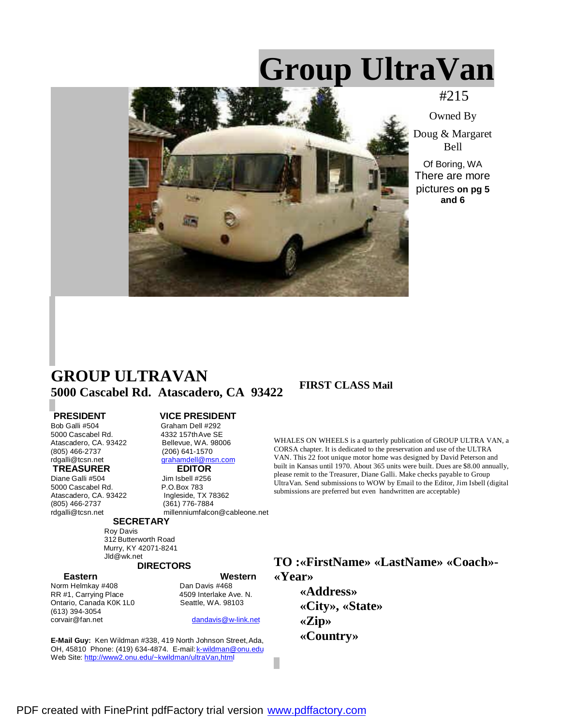# **Group UltraVan**



#215

Owned By

Doug & Margaret Bell

Of Boring, WA There are more pictures **on pg 5 and 6**

# **GROUP ULTRAVAN 5000 Cascabel Rd. Atascadero, CA 93422 FIRST CLASS Mail**

4332 157th Ave SE<br>Bellevue, WA. 98006

grahamdell@msn.com

**PRESIDENT** VICE PRESIDENT<br>Bob Galli #504 Graham Dell #292 Bob Galli #504 Graham Dell #292<br>5000 Cascabel Rd. 4332 157th Ave SE Atascadero, CA. 93422 (805) 466-2737 (206) 641-1570<br>
rdgalli@tcsn.net (arahamdell@ms

# **TREASURER EDITOR**<br>Diane Galli #504 **Fig. 1** Jim Isbell #256

Diane Galli #504 5000 Cascabel Rd. <br>Atascadero, CA. 93422 Ingleside, TX 78362 Atascadero, CA. 93422 (805) 466-2737 (361) 776-7884

#### millenniumfalcon@cableone.net

#### **SECRETARY**

 Roy Davis 312 Butterworth Road Murry, KY 42071-8241 Jld@wk.net

# **DIRECTORS**

Norm Helmkay #408 **Dan Davis #468**<br>RR #1, Carrying Place **National ASS** 4509 Interlake Ave. N. RR #1, Carrying Place 4509 Interlake Ave.<br>
Ontario, Canada K0K 1L0 4509 Seattle, WA. 98103 Ontario, Canada K0K 1L0 (613) 394-3054

**Eastern Western**

dandavis@w-link.net

**E-Mail Guy:** Ken Wildman #338, 419 North Johnson Street, Ada, OH, 45810 Phone: (419) 634-4874. E-mail: k-wildman@onu.edu Web Site: http://www2.onu.edu/~kwildman/ultraVan,html

WHALES ON WHEELS is a quarterly publication of GROUP ULTRA VAN, a CORSA chapter. It is dedicated to the preservation and use of the ULTRA VAN. This 22 foot unique motor home was designed by David Peterson and built in Kansas until 1970. About 365 units were built. Dues are \$8.00 annually, please remit to the Treasurer, Diane Galli. Make checks payable to Group UltraVan. Send submissions to WOW by Email to the Editor, Jim Isbell (digital submissions are preferred but even handwritten are acceptable)

**TO :«FirstName» «LastName» «Coach»- «Year»**

> **«Address» «City», «State» «Zip» «Country»**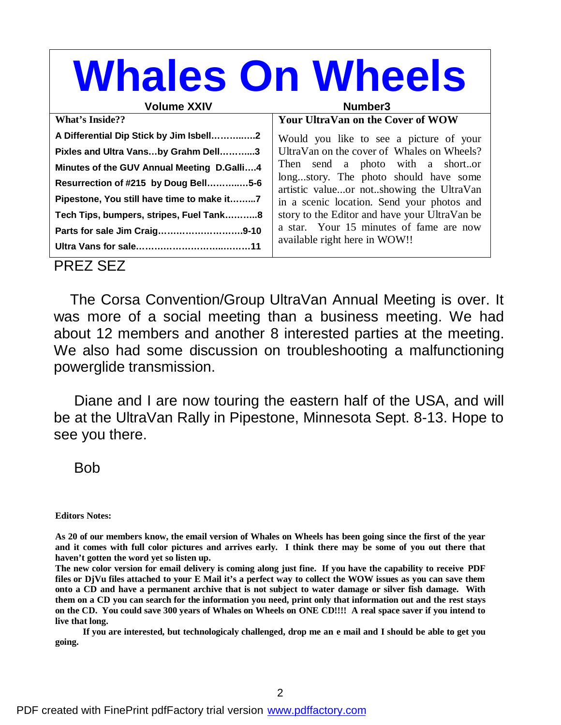#### **Whales On Wheels** Volume XXIV **Number3 What's Inside?? A Differential Dip Stick by Jim Isbell………..….2 Pixles and Ultra Vans…by Grahm Dell………...3 Minutes of the GUV Annual Meeting D.Galli….4 Resurrection of #215 by Doug Bell………..…5-6 Pipestone, You still have time to make it……...7 Tech Tips, bumpers, stripes, Fuel Tank………..8 Parts for sale Jim Craig……………………….9-10 Ultra Vans for sale………………………..………11 Your UltraVan on the Cover of WOW** Would you like to see a picture of your UltraVan on the cover of Whales on Wheels? Then send a photo with a short..or long...story. The photo should have some artistic value...or not..showing the UltraVan in a scenic location. Send your photos and story to the Editor and have your UltraVan be a star. Your 15 minutes of fame are now available right here in WOW!! PREZ SEZ

 The Corsa Convention/Group UltraVan Annual Meeting is over. It was more of a social meeting than a business meeting. We had about 12 members and another 8 interested parties at the meeting. We also had some discussion on troubleshooting a malfunctioning powerglide transmission.

 Diane and I are now touring the eastern half of the USA, and will be at the UltraVan Rally in Pipestone, Minnesota Sept. 8-13. Hope to see you there.

# Bob

**Editors Notes:**

As 20 of our members know, the email version of Whales on Wheels has been going since the first of the year and it comes with full color pictures and arrives early. I think there may be some of you out there that **haven't gotten the word yet so listen up.**

The new color version for email delivery is coming along just fine. If you have the capability to receive PDF files or DjVu files attached to your E Mail it's a perfect way to collect the WOW issues as you can save them onto a CD and have a permanent archive that is not subject to water damage or silver fish damage. With them on a CD you can search for the information you need, print only that information out and the rest stays on the CD. You could save 300 years of Whales on Wheels on ONE CD!!!! A real space saver if you intend to **live that long.**

If you are interested, but technologicaly challenged, drop me an e mail and I should be able to get you **going.**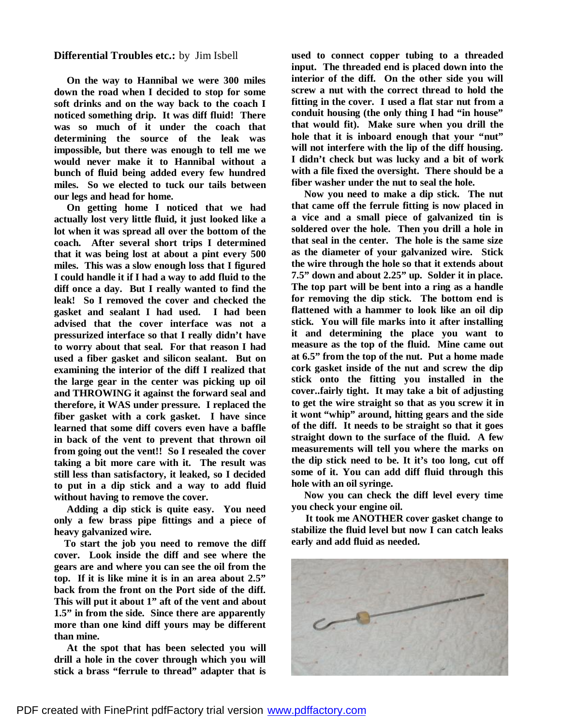#### **Differential Troubles etc.:** by Jim Isbell

**On the way to Hannibal we were 300 miles down the road when I decided to stop for some soft drinks and on the way back to the coach I noticed something drip. It was diff fluid! There was so much of it under the coach that determining the source of the leak was impossible, but there was enough to tell me we would never make it to Hannibal without a bunch of fluid being added every few hundred miles. So we elected to tuck our tails between our legs and head for home.**

**On getting home I noticed that we had actually lost very little fluid, it just looked like a lot when it was spread all over the bottom of the coach. After several short trips I determined that it was being lost at about a pint every 500 miles. This was a slow enough loss that I figured I could handle it if I had a way to add fluid to the diff once a day. But I really wanted to find the leak! So I removed the cover and checked the gasket and sealant I had used. I had been advised that the cover interface was not a pressurized interface so that I really didn't have to worry about that seal. For that reason I had used a fiber gasket and silicon sealant. But on examining the interior of the diff I realized that the large gear in the center was picking up oil and THROWING it against the forward seal and therefore, it WAS under pressure. I replaced the fiber gasket with a cork gasket. I have since learned that some diff covers even have a baffle in back of the vent to prevent that thrown oil from going out the vent!! So I resealed the cover taking a bit more care with it. The result was still less than satisfactory, it leaked, so I decided to put in a dip stick and a way to add fluid without having to remove the cover.**

**Adding a dip stick is quite easy. You need only a few brass pipe fittings and a piece of heavy galvanized wire.**

**To start the job you need to remove the diff cover. Look inside the diff and see where the gears are and where you can see the oil from the top. If it is like mine it is in an area about 2.5" back from the front on the Port side of the diff. This will put it about 1" aft of the vent and about 1.5" in from the side. Since there are apparently more than one kind diff yours may be different than mine.**

**At the spot that has been selected you will drill a hole in the cover through which you will stick a brass "ferrule to thread" adapter that is**

**used to connect copper tubing to a threaded input. The threaded end is placed down into the interior of the diff. On the other side you will screw a nut with the correct thread to hold the fitting in the cover. I used a flat star nut from a conduit housing (the only thing I had "in house" that would fit). Make sure when you drill the hole that it is inboard enough that your "nut" will not interfere with the lip of the diff housing. I didn't check but was lucky and a bit of work with a file fixed the oversight. There should be a fiber washer under the nut to seal the hole.**

**Now you need to make a dip stick. The nut that came off the ferrule fitting is now placed in a vice and a small piece of galvanized tin is soldered over the hole. Then you drill a hole in that seal in the center. The hole is the same size as the diameter of your galvanized wire. Stick the wire through the hole so that it extends about 7.5" down and about 2.25" up. Solder it in place. The top part will be bent into a ring as a handle for removing the dip stick. The bottom end is flattened with a hammer to look like an oil dip stick. You will file marks into it after installing it and determining the place you want to measure as the top of the fluid. Mine came out at 6.5" from the top of the nut. Put a home made cork gasket inside of the nut and screw the dip stick onto the fitting you installed in the cover..fairly tight. It may take a bit of adjusting to get the wire straight so that as you screw it in it wont "whip" around, hitting gears and the side of the diff. It needs to be straight so that it goes straight down to the surface of the fluid. A few measurements will tell you where the marks on the dip stick need to be. It it's too long, cut off some of it. You can add diff fluid through this hole with an oil syringe.**

**Now you can check the diff level every time you check your engine oil.**

 **It took me ANOTHER cover gasket change to stabilize the fluid level but now I can catch leaks early and add fluid as needed.**

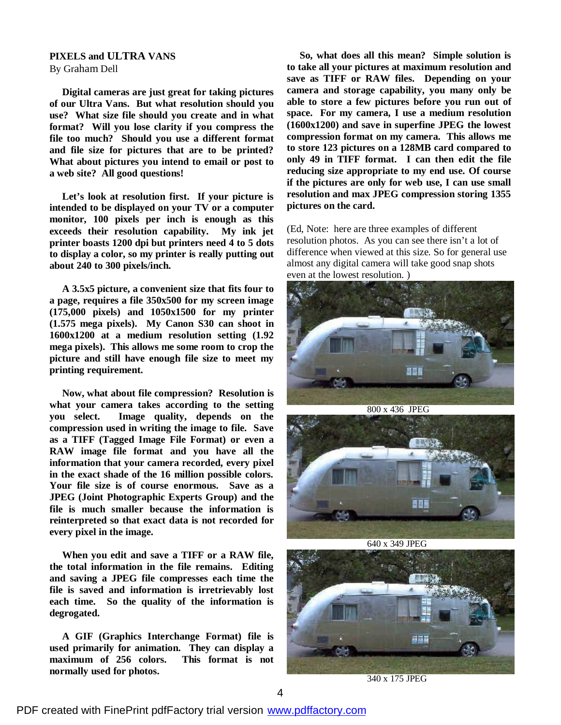#### **PIXELS and ULTRA VANS** By Graham Dell

**Digital cameras are just great for taking pictures of our Ultra Vans. But what resolution should you use? What size file should you create and in what format? Will you lose clarity if you compress the file too much? Should you use a different format and file size for pictures that are to be printed? What about pictures you intend to email or post to a web site? All good questions!**

**Let's look at resolution first. If your picture is intended to be displayed on your TV or a computer monitor, 100 pixels per inch is enough as this exceeds their resolution capability. My ink jet printer boasts 1200 dpi but printers need 4 to 5 dots to display a color, so my printer is really putting out about 240 to 300 pixels/inch.**

**A 3.5x5 picture, a convenient size that fits four to a page, requires a file 350x500 for my screen image (175,000 pixels) and 1050x1500 for my printer (1.575 mega pixels). My Canon S30 can shoot in 1600x1200 at a medium resolution setting (1.92 mega pixels). This allows me some room to crop the picture and still have enough file size to meet my printing requirement.**

**Now, what about file compression? Resolution is what your camera takes according to the setting you select. Image quality, depends on the compression used in writing the image to file. Save as a TIFF (Tagged Image File Format) or even a RAW image file format and you have all the information that your camera recorded, every pixel in the exact shade of the 16 million possible colors. Your file size is of course enormous. Save as a JPEG (Joint Photographic Experts Group) and the file is much smaller because the information is reinterpreted so that exact data is not recorded for every pixel in the image.**

**When you edit and save a TIFF or a RAW file, the total information in the file remains. Editing and saving a JPEG file compresses each time the file is saved and information is irretrievably lost each time. So the quality of the information is degrogated.**

**A GIF (Graphics Interchange Format) file is used primarily for animation. They can display a maximum of 256 colors. This format is not normally used for photos.**

 **So, what does all this mean? Simple solution is to take all your pictures at maximum resolution and save as TIFF or RAW files. Depending on your camera and storage capability, you many only be able to store a few pictures before you run out of space. For my camera, I use a medium resolution (1600x1200) and save in superfine JPEG the lowest compression format on my camera. This allows me to store 123 pictures on a 128MB card compared to only 49 in TIFF format. I can then edit the file reducing size appropriate to my end use. Of course if the pictures are only for web use, I can use small resolution and max JPEG compression storing 1355 pictures on the card.**

(Ed, Note: here are three examples of different resolution photos. As you can see there isn't a lot of difference when viewed at this size. So for general use almost any digital camera will take good snap shots even at the lowest resolution. )



800 x 436 JPEG



640 x 349 JPEG



340 x 175 JPEG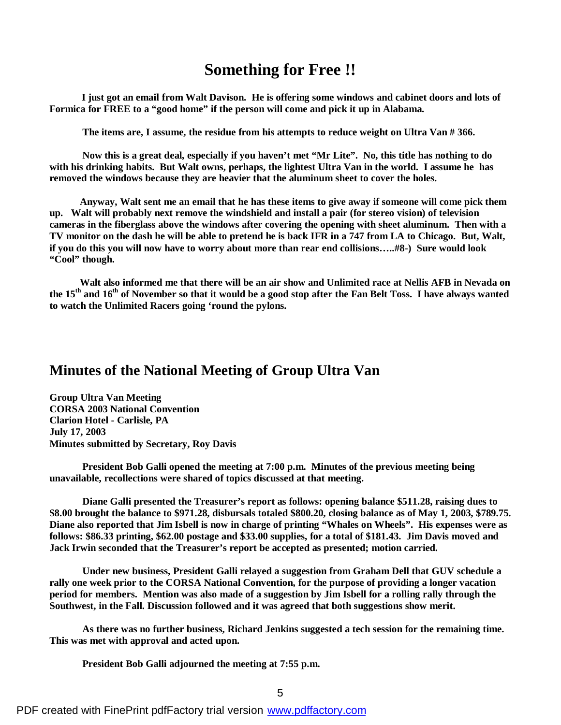# **Something for Free !!**

 **I just got an email from Walt Davison. He is offering some windows and cabinet doors and lots of Formica for FREE to a "good home" if the person will come and pick it up in Alabama.**

 **The items are, I assume, the residue from his attempts to reduce weight on Ultra Van # 366.**

 **Now this is a great deal, especially if you haven't met "Mr Lite". No, this title has nothing to do with his drinking habits. But Walt owns, perhaps, the lightest Ultra Van in the world. I assume he has removed the windows because they are heavier that the aluminum sheet to cover the holes.**

 **Anyway, Walt sent me an email that he has these items to give away if someone will come pick them up. Walt will probably next remove the windshield and install a pair (for stereo vision) of television cameras in the fiberglass above the windows after covering the opening with sheet aluminum. Then with a** TV monitor on the dash he will be able to pretend he is back IFR in a 747 from LA to Chicago. But, Walt, **if you do this you will now have to worry about more than rear end collisions…..#8-) Sure would look "Cool" though.**

 **Walt also informed me that there will be an air show and Unlimited race at Nellis AFB in Nevada on** the 15<sup>th</sup> and 16<sup>th</sup> of November so that it would be a good stop after the Fan Belt Toss. I have always wanted **to watch the Unlimited Racers going 'round the pylons.**

# **Minutes of the National Meeting of Group Ultra Van**

**Group Ultra Van Meeting CORSA 2003 National Convention Clarion Hotel - Carlisle, PA July 17, 2003 Minutes submitted by Secretary, Roy Davis**

**President Bob Galli opened the meeting at 7:00 p.m. Minutes of the previous meeting being unavailable, recollections were shared of topics discussed at that meeting.**

**Diane Galli presented the Treasurer's report as follows: opening balance \$511.28, raising dues to \$8.00 brought the balance to \$971.28, disbursals totaled \$800.20, closing balance as of May 1, 2003, \$789.75. Diane also reported that Jim Isbell is now in charge of printing "Whales on Wheels". His expenses were as follows: \$86.33 printing, \$62.00 postage and \$33.00 supplies, for a total of \$181.43. Jim Davis moved and Jack Irwin seconded that the Treasurer's report be accepted as presented; motion carried.**

**Under new business, President Galli relayed a suggestion from Graham Dell that GUV schedule a rally one week prior to the CORSA National Convention, for the purpose of providing a longer vacation period for members. Mention was also made of a suggestion by Jim Isbell for a rolling rally through the Southwest, in the Fall. Discussion followed and it was agreed that both suggestions show merit.**

**As there was no further business, Richard Jenkins suggested a tech session for the remaining time. This was met with approval and acted upon.**

**President Bob Galli adjourned the meeting at 7:55 p.m.**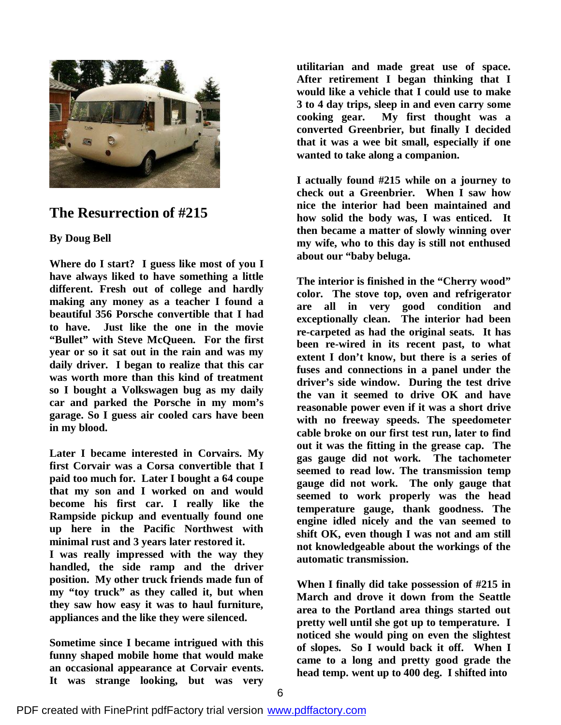

# **The Resurrection of #215**

### **By Doug Bell**

**Where do I start? I guess like most of you I have always liked to have something a little different. Fresh out of college and hardly making any money as a teacher I found a beautiful 356 Porsche convertible that I had to have. Just like the one in the movie "Bullet" with Steve McQueen. For the first year or so it sat out in the rain and was my daily driver. I began to realize that this car was worth more than this kind of treatment so I bought a Volkswagen bug as my daily car and parked the Porsche in my mom's garage. So I guess air cooled cars have been in my blood.**

**Later I became interested in Corvairs. My first Corvair was a Corsa convertible that I paid too much for. Later I bought a 64 coupe that my son and I worked on and would become his first car. I really like the Rampside pickup and eventually found one up here in the Pacific Northwest with minimal rust and 3 years later restored it.**

**I was really impressed with the way they handled, the side ramp and the driver position. My other truck friends made fun of my "toy truck" as they called it, but when they saw how easy it was to haul furniture, appliances and the like they were silenced.**

**Sometime since I became intrigued with this funny shaped mobile home that would make an occasional appearance at Corvair events. It was strange looking, but was very** **utilitarian and made great use of space. After retirement I began thinking that I would like a vehicle that I could use to make 3 to 4 day trips, sleep in and even carry some cooking gear. My first thought was a converted Greenbrier, but finally I decided that it was a wee bit small, especially if one wanted to take along a companion.**

**I actually found #215 while on a journey to check out a Greenbrier. When I saw how nice the interior had been maintained and how solid the body was, I was enticed. It then became a matter of slowly winning over my wife, who to this day is still not enthused about our "baby beluga.**

**The interior is finished in the "Cherry wood" color. The stove top, oven and refrigerator are all in very good condition and exceptionally clean. The interior had been re-carpeted as had the original seats. It has been re-wired in its recent past, to what extent I don't know, but there is a series of fuses and connections in a panel under the driver's side window. During the test drive the van it seemed to drive OK and have reasonable power even if it was a short drive with no freeway speeds. The speedometer cable broke on our first test run, later to find out it was the fitting in the grease cap. The gas gauge did not work. The tachometer seemed to read low. The transmission temp gauge did not work. The only gauge that seemed to work properly was the head temperature gauge, thank goodness. The engine idled nicely and the van seemed to shift OK, even though I was not and am still not knowledgeable about the workings of the automatic transmission.**

**When I finally did take possession of #215 in March and drove it down from the Seattle area to the Portland area things started out pretty well until she got up to temperature. I noticed she would ping on even the slightest of slopes. So I would back it off. When I came to a long and pretty good grade the head temp. went up to 400 deg. I shifted into**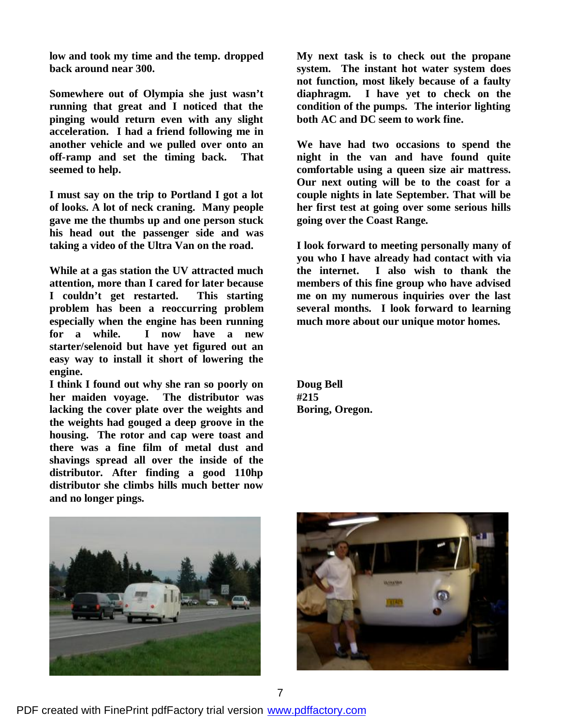**low and took my time and the temp. dropped back around near 300.**

**Somewhere out of Olympia she just wasn't running that great and I noticed that the pinging would return even with any slight acceleration. I had a friend following me in another vehicle and we pulled over onto an off-ramp and set the timing back. That seemed to help.**

**I must say on the trip to Portland I got a lot of looks. A lot of neck craning. Many people gave me the thumbs up and one person stuck his head out the passenger side and was taking a video of the Ultra Van on the road.**

**While at a gas station the UV attracted much attention, more than I cared for later because I couldn't get restarted. This starting problem has been a reoccurring problem especially when the engine has been running for a while. I now have a new starter/selenoid but have yet figured out an easy way to install it short of lowering the engine.**

**I think I found out why she ran so poorly on her maiden voyage. The distributor was lacking the cover plate over the weights and the weights had gouged a deep groove in the housing. The rotor and cap were toast and there was a fine film of metal dust and shavings spread all over the inside of the distributor. After finding a good 110hp distributor she climbs hills much better now and no longer pings.**

**My next task is to check out the propane system. The instant hot water system does not function, most likely because of a faulty diaphragm. I have yet to check on the condition of the pumps. The interior lighting both AC and DC seem to work fine.**

**We have had two occasions to spend the night in the van and have found quite comfortable using a queen size air mattress. Our next outing will be to the coast for a couple nights in late September. That will be her first test at going over some serious hills going over the Coast Range.**

**I look forward to meeting personally many of you who I have already had contact with via the internet. I also wish to thank the members of this fine group who have advised me on my numerous inquiries over the last several months. I look forward to learning much more about our unique motor homes.**

**Doug Bell #215 Boring, Oregon.**



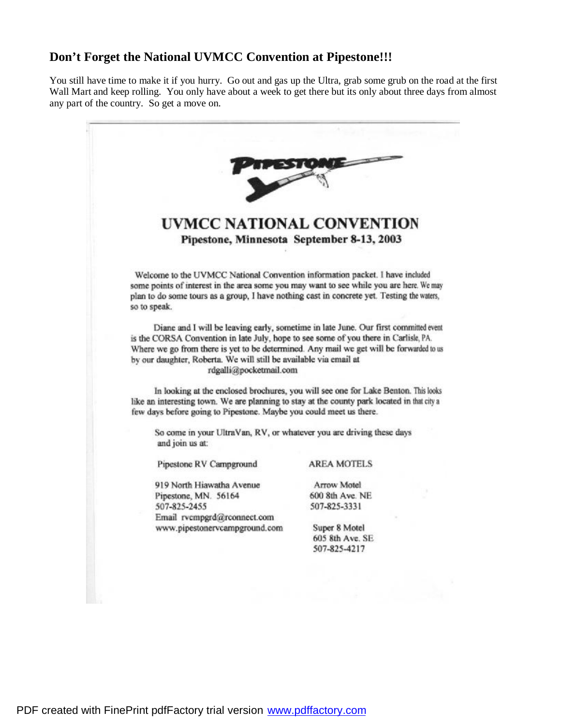# **Don't Forget the National UVMCC Convention at Pipestone!!!**

You still have time to make it if you hurry. Go out and gas up the Ultra, grab some grub on the road at the first Wall Mart and keep rolling. You only have about a week to get there but its only about three days from almost any part of the country. So get a move on.

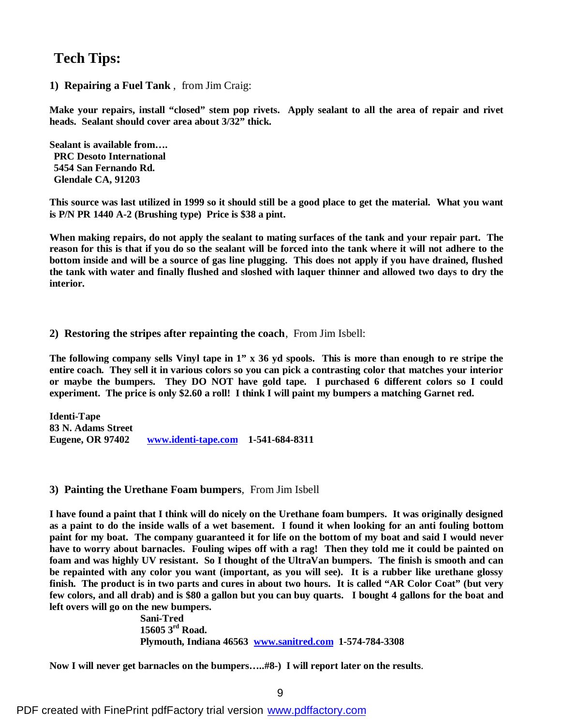# **Tech Tips:**

**1) Repairing a Fuel Tank** , from Jim Craig:

**Make your repairs, install "closed" stem pop rivets. Apply sealant to all the area of repair and rivet heads. Sealant should cover area about 3/32" thick.**

**Sealant is available from…. PRC Desoto International 5454 San Fernando Rd. Glendale CA, 91203**

This source was last utilized in 1999 so it should still be a good place to get the material. What you want **is P/N PR 1440 A-2 (Brushing type) Price is \$38 a pint.**

**When making repairs, do not apply the sealant to mating surfaces of the tank and your repair part. The** reason for this is that if you do so the sealant will be forced into the tank where it will not adhere to the bottom inside and will be a source of gas line plugging. This does not apply if you have drained, flushed the tank with water and finally flushed and sloshed with laquer thinner and allowed two days to dry the **interior.**

**2) Restoring the stripes after repainting the coach**, From Jim Isbell:

The following company sells Vinyl tape in  $1''$  x 36 yd spools. This is more than enough to re stripe the entire coach. They sell it in various colors so you can pick a contrasting color that matches your interior **or maybe the bumpers. They DO NOT have gold tape. I purchased 6 different colors so I could experiment. The price is only \$2.60 a roll! I think I will paint my bumpers a matching Garnet red.**

**Identi-Tape 83 N. Adams Street Eugene, OR 97402 www.identi-tape.com 1-541-684-8311**

**3) Painting the Urethane Foam bumpers**, From Jim Isbell

**I have found a paint that I think will do nicely on the Urethane foam bumpers. It was originally designed** as a paint to do the inside walls of a wet basement. I found it when looking for an anti fouling bottom paint for my boat. The company guaranteed it for life on the bottom of my boat and said I would never have to worry about barnacles. Fouling wipes off with a rag! Then they told me it could be painted on **foam and was highly UV resistant. So I thought of the UltraVan bumpers. The finish is smooth and can** be repainted with any color you want (important, as you will see). It is a rubber like urethane glossy finish. The product is in two parts and cures in about two hours. It is called "AR Color Coat" (but very few colors, and all drab) and is \$80 a gallon but you can buy quarts. I bought 4 gallons for the boat and **left overs will go on the new bumpers.**

 **Sani-Tred 15605 3rd Road. Plymouth, Indiana 46563 www.sanitred.com 1-574-784-3308**

**Now I will never get barnacles on the bumpers…..#8-) I will report later on the results**.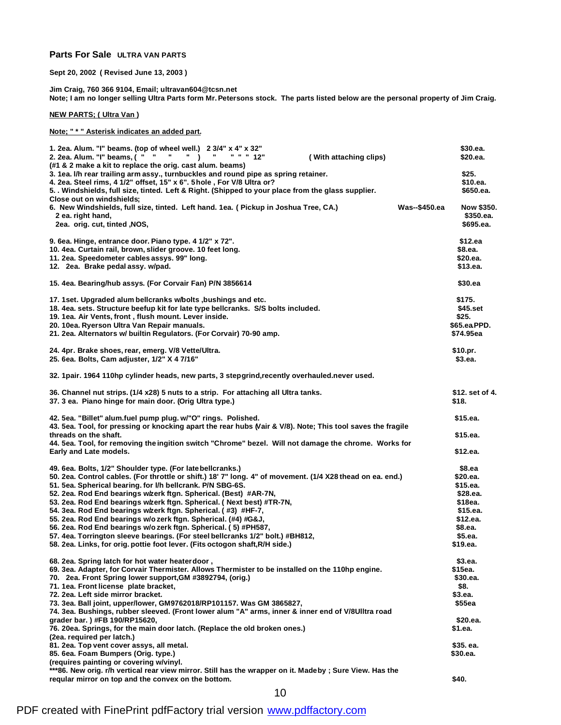#### **Parts For Sale ULTRA VAN PARTS**

**Sept 20, 2002 ( Revised June 13, 2003 )**

**Jim Craig, 760 366 9104, Email; ultravan604@tcsn.net Note; I am no longer selling Ultra Parts form Mr. Petersons stock. The parts listed below are the personal property of Jim Craig.**

#### **NEW PARTS; ( Ultra Van )**

**Note; " \* " Asterisk indicates an added part.**

| 1. 2ea. Alum. "I" beams. (top of wheel well.) 2 3/4" x 4" x 32"<br>2. 2ea. Alum. "I" beams, ( " "<br>л.<br>$\cdots$<br>" " " 12"<br>(With attaching clips)<br>(#1 & 2 make a kit to replace the orig. cast alum. beams)                                                                                                                                                                                                                                                                                                                                                                                                                                                                                                                                   | \$30.ea.<br>\$20.ea.                                                                                            |
|-----------------------------------------------------------------------------------------------------------------------------------------------------------------------------------------------------------------------------------------------------------------------------------------------------------------------------------------------------------------------------------------------------------------------------------------------------------------------------------------------------------------------------------------------------------------------------------------------------------------------------------------------------------------------------------------------------------------------------------------------------------|-----------------------------------------------------------------------------------------------------------------|
| 3. 1ea. I/h rear trailing arm assy., turnbuckles and round pipe as spring retainer.<br>4. 2ea. Steel rims, 4 1/2" offset, 15" x 6". 5 hole, For V/8 Ultra or?<br>5. Windshields, full size, tinted. Left & Right. (Shipped to your place from the glass supplier.<br>Close out on windshields;                                                                                                                                                                                                                                                                                                                                                                                                                                                            | \$25.<br>\$10.ea.<br>\$650.ea.                                                                                  |
| Was--\$450.ea<br>6. New Windshields, full size, tinted. Left hand. 1ea. (Pickup in Joshua Tree, CA.)<br>2 ea. right hand,<br>2ea. orig. cut, tinted , NOS,                                                                                                                                                                                                                                                                                                                                                                                                                                                                                                                                                                                                | Now \$350.<br>\$350.ea.<br>\$695.ea.                                                                            |
| 9. 6ea. Hinge, entrance door. Piano type. 4 1/2" x 72".<br>10. 4ea. Curtain rail, brown, slider groove. 10 feet long.<br>11. 2ea. Speedometer cables assys. 99" long.<br>12. 2ea. Brake pedal assy. w/pad.                                                                                                                                                                                                                                                                                                                                                                                                                                                                                                                                                | \$12.ea<br>\$8.ea.<br>\$20.ea.<br>\$13.ea.                                                                      |
| 15. 4ea. Bearing/hub assys. (For Corvair Fan) P/N 3856614                                                                                                                                                                                                                                                                                                                                                                                                                                                                                                                                                                                                                                                                                                 | \$30.ea                                                                                                         |
| 17. 1set. Upgraded alum bellcranks w/bolts , bushings and etc.<br>18. 4ea. sets. Structure beefup kit for late type bellcranks. S/S bolts included.<br>19. 1ea. Air Vents, front, flush mount. Lever inside.<br>20. 10ea. Ryerson Ultra Van Repair manuals.<br>21. 2ea. Alternators w/ builtin Regulators. (For Corvair) 70-90 amp.                                                                                                                                                                                                                                                                                                                                                                                                                       | \$175.<br>\$45.set<br>\$25.<br>\$65.eaPPD.<br>\$74.95ea                                                         |
| 24. 4pr. Brake shoes, rear, emerg. V/8 Vette/Ultra.<br>25. 6ea. Bolts, Cam adjuster, 1/2" X 4 7/16"                                                                                                                                                                                                                                                                                                                                                                                                                                                                                                                                                                                                                                                       | \$10.pr.<br>\$3.ea.                                                                                             |
| 32. 1pair. 1964 110hp cylinder heads, new parts, 3 stepgrind, recently overhauled.never used.                                                                                                                                                                                                                                                                                                                                                                                                                                                                                                                                                                                                                                                             |                                                                                                                 |
| 36. Channel nut strips. (1/4 x28) 5 nuts to a strip. For attaching all Ultra tanks.<br>37. 3 ea. Piano hinge for main door. (Orig Ultra type.)                                                                                                                                                                                                                                                                                                                                                                                                                                                                                                                                                                                                            | \$12. set of 4.<br>\$18.                                                                                        |
| 42. 5ea. "Billet" alum.fuel pump plug. w/"O" rings. Polished.<br>43. 5ea. Tool, for pressing or knocking apart the rear hubs (Vair & V/8). Note; This tool saves the fragile                                                                                                                                                                                                                                                                                                                                                                                                                                                                                                                                                                              | \$15.ea.                                                                                                        |
| threads on the shaft.<br>44. 5ea. Tool, for removing the ingition switch "Chrome" bezel. Will not damage the chrome. Works for<br>Early and Late models.                                                                                                                                                                                                                                                                                                                                                                                                                                                                                                                                                                                                  | \$15.ea.<br>\$12.ea.                                                                                            |
| 49. 6ea. Bolts, 1/2" Shoulder type. (For late bellcranks.)<br>50. 2ea. Control cables. (For throttle or shift.) 18' 7" long. 4" of movement. (1/4 X28 thead on ea. end.)<br>51. 5ea. Spherical bearing. for I/h bellcrank. P/N SBG-6S.<br>52. 2ea. Rod End bearings w/zerk ftgn. Spherical. (Best) #AR-7N,<br>53. 2ea. Rod End bearings w/zerk ftgn. Spherical. (Next best) #TR-7N,<br>54. 3ea. Rod End bearings w/zerk ftgn. Spherical. (#3) #HF-7,<br>55. 2ea. Rod End bearings w/ozerk ftgn. Spherical. (#4) #G&J,<br>56. 2ea. Rod End bearings w/ozerk ftgn. Spherical. (5) #PH587,<br>57. 4ea. Torrington sleeve bearings. (For steel bellcranks 1/2" bolt.) #BH812,<br>58. 2ea. Links, for orig. pottie foot lever. (Fits octogon shaft, R/H side.) | \$8.ea<br>\$20.ea.<br>\$15.ea.<br>\$28.ea.<br>\$18ea.<br>\$15.ea.<br>\$12.ea.<br>\$8.ea.<br>\$5.ea.<br>\$19.ea. |
| 68. 2ea. Spring latch for hot water heater door,<br>69. 3ea. Adapter, for Corvair Thermister. Allows Thermister to be installed on the 110hp engine.<br>70. 2ea. Front Spring lower support, GM #3892794, (orig.)<br>71. 1ea. Front license plate bracket,<br>72. 2ea. Left side mirror bracket.<br>73. 3ea. Ball joint, upper/lower, GM9762018/RP101157. Was GM 3865827,<br>74. 3ea. Bushings, rubber sleeved. (Front lower alum "A" arms, inner & inner end of V/8Ulltra road<br>grader bar.) #FB 190/RP15620,<br>76. 20ea. Springs, for the main door latch. (Replace the old broken ones.)<br>(2ea. required per latch.)                                                                                                                              | \$3.ea.<br>\$15ea.<br>\$30.ea.<br>\$8.<br>\$3.ea.<br>\$55ea<br>\$20.ea.<br>\$1.ea.                              |
| 81. 2ea. Top vent cover assys, all metal.<br>85. 6ea. Foam Bumpers (Orig. type.)<br>(requires painting or covering w/vinyl.                                                                                                                                                                                                                                                                                                                                                                                                                                                                                                                                                                                                                               | \$35. ea.<br>\$30.ea.                                                                                           |
| ***86. New orig. r/h vertical rear view mirror. Still has the wrapper on it. Madeby ; Sure View. Has the<br>requiar mirror on top and the convex on the bottom.                                                                                                                                                                                                                                                                                                                                                                                                                                                                                                                                                                                           | \$40.                                                                                                           |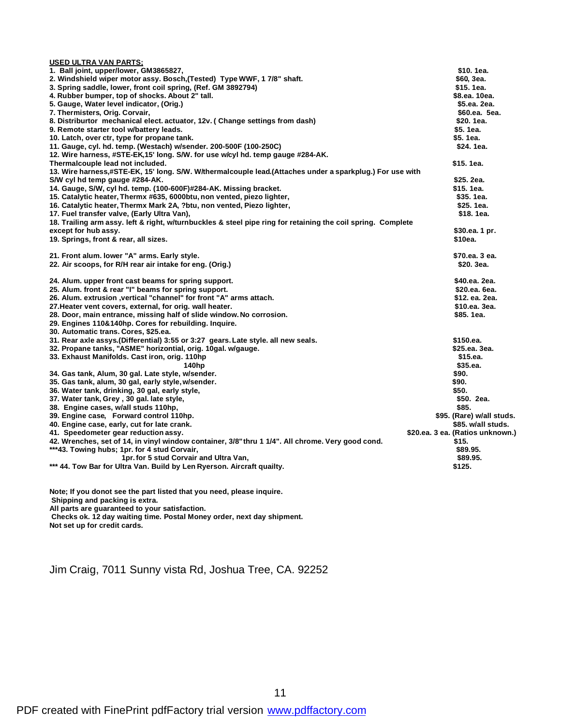| <b>USED ULTRA VAN PARTS;</b>                                                                                 |                                  |
|--------------------------------------------------------------------------------------------------------------|----------------------------------|
| 1. Ball joint, upper/lower, GM3865827,                                                                       | \$10.1ea.                        |
| 2. Windshield wiper motor assy. Bosch, (Tested) Type WWF, 1 7/8" shaft.                                      | \$60, 3ea.                       |
| 3. Spring saddle, lower, front coil spring, (Ref. GM 3892794)                                                | \$15, 1ea.                       |
| 4. Rubber bumper, top of shocks. About 2" tall.                                                              | \$8.ea. 10ea.                    |
| 5. Gauge, Water level indicator, (Orig.)                                                                     | \$5.ea. 2ea.                     |
| 7. Thermisters, Orig. Corvair,                                                                               | \$60.ea. 5ea.                    |
| 8. Distriburtor mechanical elect. actuator, 12v. (Change settings from dash)                                 | \$20.1ea.                        |
| 9. Remote starter tool w/battery leads.                                                                      | \$5.1ea.                         |
| 10. Latch, over ctr, type for propane tank.                                                                  | \$5.1ea.                         |
| 11. Gauge, cyl. hd. temp. (Westach) w/sender. 200-500F (100-250C)                                            | \$24.1ea.                        |
| 12. Wire harness, #STE-EK,15' long. S/W. for use w/cyl hd. temp gauge #284-AK.                               |                                  |
| Thermalcouple lead not included.                                                                             | \$15.1ea.                        |
| 13. Wire harness,#STE-EK, 15' long. S/W. W/thermalcouple lead.(Attaches under a sparkplug.) For use with     |                                  |
| S/W cyl hd temp gauge #284-AK.                                                                               | \$25. 2ea.                       |
| 14. Gauge, S/W, cyl hd. temp. (100-600F)#284-AK. Missing bracket.                                            | \$15.1ea.                        |
| 15. Catalytic heater, Thermx #635, 6000btu, non vented, piezo lighter,                                       | \$35.1ea.                        |
| 16. Catalytic heater, Thermx Mark 2A, ?btu, non vented, Piezo lighter,                                       | \$25.1ea.                        |
| 17. Fuel transfer valve, (Early Ultra Van),                                                                  | \$18.1ea.                        |
| 18. Trailing arm assy. left & right, w/turnbuckles & steel pipe ring for retaining the coil spring. Complete |                                  |
| except for hub assy.                                                                                         | \$30.ea. 1 pr.                   |
| 19. Springs, front & rear, all sizes.                                                                        | \$10ea.                          |
|                                                                                                              |                                  |
| 21. Front alum. lower "A" arms. Early style.                                                                 | \$70.ea. 3 ea.                   |
| 22. Air scoops, for R/H rear air intake for eng. (Orig.)                                                     | \$20. 3ea.                       |
|                                                                                                              |                                  |
| 24. Alum. upper front cast beams for spring support.                                                         | \$40.ea. 2ea.                    |
| 25. Alum. front & rear "I" beams for spring support.                                                         | \$20.ea. 6ea.                    |
| 26. Alum. extrusion ,vertical "channel" for front "A" arms attach.                                           | \$12. ea. 2ea.                   |
| 27. Heater vent covers, external, for orig. wall heater.                                                     | \$10.ea. 3ea.                    |
| 28. Door, main entrance, missing half of slide window. No corrosion.                                         | \$85.1ea.                        |
| 29. Engines 110&140hp. Cores for rebuilding. Inquire.                                                        |                                  |
| 30. Automatic trans. Cores, \$25.ea.                                                                         |                                  |
| 31. Rear axle assys. (Differential) 3:55 or 3:27 gears. Late style. all new seals.                           | \$150.ea.                        |
| 32. Propane tanks, "ASME" horizontial, orig. 10gal. w/gauge.                                                 | \$25.ea. 3ea.                    |
| 33. Exhaust Manifolds. Cast iron, orig. 110hp                                                                | \$15.ea.                         |
| 140hp                                                                                                        | \$35.ea.                         |
| 34. Gas tank, Alum, 30 gal. Late style, w/sender.                                                            | \$90.                            |
| 35. Gas tank, alum, 30 gal, early style, w/sender.                                                           | \$90.                            |
| 36. Water tank, drinking, 30 gal, early style,                                                               | \$50.                            |
| 37. Water tank, Grey, 30 gal. late style,                                                                    | \$50. 2ea.                       |
| 38. Engine cases, w/all studs 110hp,                                                                         | \$85.                            |
| 39. Engine case, Forward control 110hp.                                                                      | \$95. (Rare) w/all studs.        |
| 40. Engine case, early, cut for late crank.                                                                  | \$85. w/all studs.               |
| 41. Speedometer gear reduction assy.                                                                         | \$20.ea. 3 ea. (Ratios unknown.) |
| 42. Wrenches, set of 14, in vinyl window container, 3/8" thru 1 1/4". All chrome. Very good cond.            | \$15.                            |
| ***43. Towing hubs; 1pr. for 4 stud Corvair,                                                                 | \$89.95.                         |
| 1pr. for 5 stud Corvair and Ultra Van,                                                                       | \$89.95.                         |
| *** 44. Tow Bar for Ultra Van. Build by Len Ryerson. Aircraft quailty.                                       | \$125.                           |
|                                                                                                              |                                  |

**Note; If you donot see the part listed that you need, please inquire.**

 **Shipping and packing is extra.**

**All parts are guaranteed to your satisfaction.**

 **Checks ok. 12 day waiting time. Postal Money order, next day shipment.**

**Not set up for credit cards.**

Jim Craig, 7011 Sunny vista Rd, Joshua Tree, CA. 92252